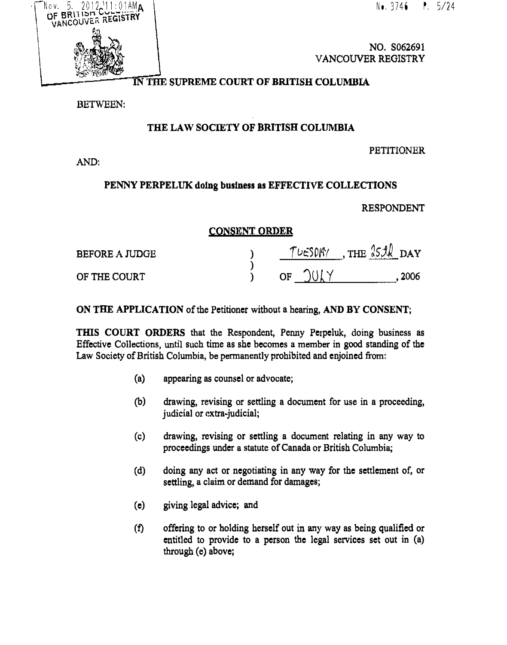$2012.11:01AM$ A Nov. OF BRUISH JF BRITTSM COLOREY

No. 3746 P. 5/24

NO. S062691 VANCOUVER REGISTRY

## IN THE SUPREME COURT OF BRITISH COLUMBIA

BETWEEN:

# THE LAW SOCIETY OF BRITISH COLUMBIA

#### **PETITIONER**

AND:

## PENNY PERPELUK doing business as EFFECTIVE COLLECTIONS

### RESPONDENT

### CONSENT ORDER

| <b>BEFORE A JUDGE</b> | $L - 504$ | THE $3511$ DAY |
|-----------------------|-----------|----------------|
| OF THE COURT          | ∩F        | 2006           |

ON THE APPLICATION of the Petitioner without a hearing, AND BY CONSENT;

THIS COURT ORDERS that the Respondent, Penny Perpeluk, doing business as Effective Collections, until such time as she becomes a member in good standing of the Law Society of British Columbia, be permanently prohibited and enjoined from:

- (a) appearing as counsel or advocate;
- (b) drawing, revising or settling a document for use in a proceeding, judicial or extra-judicial;
- (c) drawing, revising or settling a document relating in any way to proceedings under a statute of Canada or British Columbia;
- (d) doing any act or negotiating in any way for the settlement of, or settling, a claim or demand for damages;
- (e) giving legal advice; and
- (f) offering to or holding herself out in any way as being qualified or entitled to provide to a person the legal services set out in (a) through (e) above;